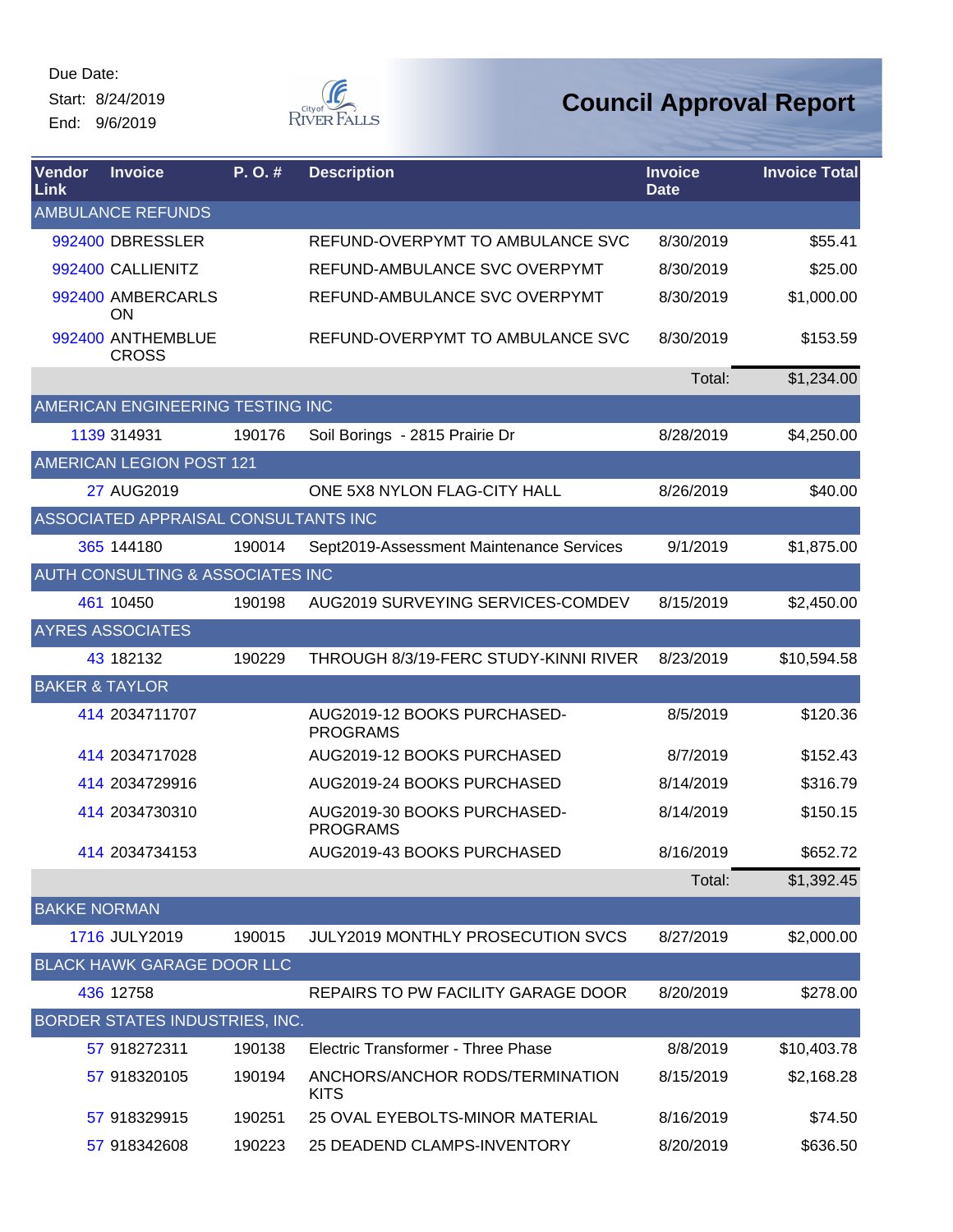Due Date: Start: 8/24/2019

End: 9/6/2019



| Vendor<br>Link            | <b>Invoice</b>                       | P.O.#  | <b>Description</b>                             | <b>Invoice</b><br><b>Date</b> | <b>Invoice Total</b> |
|---------------------------|--------------------------------------|--------|------------------------------------------------|-------------------------------|----------------------|
|                           | <b>AMBULANCE REFUNDS</b>             |        |                                                |                               |                      |
|                           | 992400 DBRESSLER                     |        | REFUND-OVERPYMT TO AMBULANCE SVC               | 8/30/2019                     | \$55.41              |
|                           | 992400 CALLIENITZ                    |        | REFUND-AMBULANCE SVC OVERPYMT                  | 8/30/2019                     | \$25.00              |
|                           | 992400 AMBERCARLS<br>ON              |        | REFUND-AMBULANCE SVC OVERPYMT                  | 8/30/2019                     | \$1,000.00           |
|                           | 992400 ANTHEMBLUE<br><b>CROSS</b>    |        | REFUND-OVERPYMT TO AMBULANCE SVC               | 8/30/2019                     | \$153.59             |
|                           |                                      |        |                                                | Total:                        | \$1,234.00           |
|                           | AMERICAN ENGINEERING TESTING INC     |        |                                                |                               |                      |
|                           | 1139 314931                          | 190176 | Soil Borings - 2815 Prairie Dr                 | 8/28/2019                     | \$4,250.00           |
|                           | AMERICAN LEGION POST 121             |        |                                                |                               |                      |
|                           | 27 AUG2019                           |        | ONE 5X8 NYLON FLAG-CITY HALL                   | 8/26/2019                     | \$40.00              |
|                           | ASSOCIATED APPRAISAL CONSULTANTS INC |        |                                                |                               |                      |
|                           | 365 144180                           | 190014 | Sept2019-Assessment Maintenance Services       | 9/1/2019                      | \$1,875.00           |
|                           | AUTH CONSULTING & ASSOCIATES INC     |        |                                                |                               |                      |
|                           | 461 10450                            | 190198 | AUG2019 SURVEYING SERVICES-COMDEV              | 8/15/2019                     | \$2,450.00           |
|                           | <b>AYRES ASSOCIATES</b>              |        |                                                |                               |                      |
|                           | 43 182132                            | 190229 | THROUGH 8/3/19-FERC STUDY-KINNI RIVER          | 8/23/2019                     | \$10,594.58          |
| <b>BAKER &amp; TAYLOR</b> |                                      |        |                                                |                               |                      |
|                           | 414 2034711707                       |        | AUG2019-12 BOOKS PURCHASED-<br><b>PROGRAMS</b> | 8/5/2019                      | \$120.36             |
|                           | 414 2034717028                       |        | AUG2019-12 BOOKS PURCHASED                     | 8/7/2019                      | \$152.43             |
|                           | 414 2034729916                       |        | AUG2019-24 BOOKS PURCHASED                     | 8/14/2019                     | \$316.79             |
|                           | 414 2034730310                       |        | AUG2019-30 BOOKS PURCHASED-<br><b>PROGRAMS</b> | 8/14/2019                     | \$150.15             |
|                           | 414 2034734153                       |        | AUG2019-43 BOOKS PURCHASED                     | 8/16/2019                     | \$652.72             |
|                           |                                      |        |                                                | Total:                        | \$1,392.45           |
| <b>BAKKE NORMAN</b>       |                                      |        |                                                |                               |                      |
|                           | 1716 JULY2019                        | 190015 | <b>JULY2019 MONTHLY PROSECUTION SVCS</b>       | 8/27/2019                     | \$2,000.00           |
|                           | <b>BLACK HAWK GARAGE DOOR LLC</b>    |        |                                                |                               |                      |
|                           | 436 12758                            |        | REPAIRS TO PW FACILITY GARAGE DOOR             | 8/20/2019                     | \$278.00             |
|                           | BORDER STATES INDUSTRIES, INC.       |        |                                                |                               |                      |
|                           | 57 918272311                         | 190138 | Electric Transformer - Three Phase             | 8/8/2019                      | \$10,403.78          |
|                           | 57 918320105                         | 190194 | ANCHORS/ANCHOR RODS/TERMINATION<br><b>KITS</b> | 8/15/2019                     | \$2,168.28           |
|                           | 57 918329915                         | 190251 | 25 OVAL EYEBOLTS-MINOR MATERIAL                | 8/16/2019                     | \$74.50              |
|                           | 57 918342608                         | 190223 | 25 DEADEND CLAMPS-INVENTORY                    | 8/20/2019                     | \$636.50             |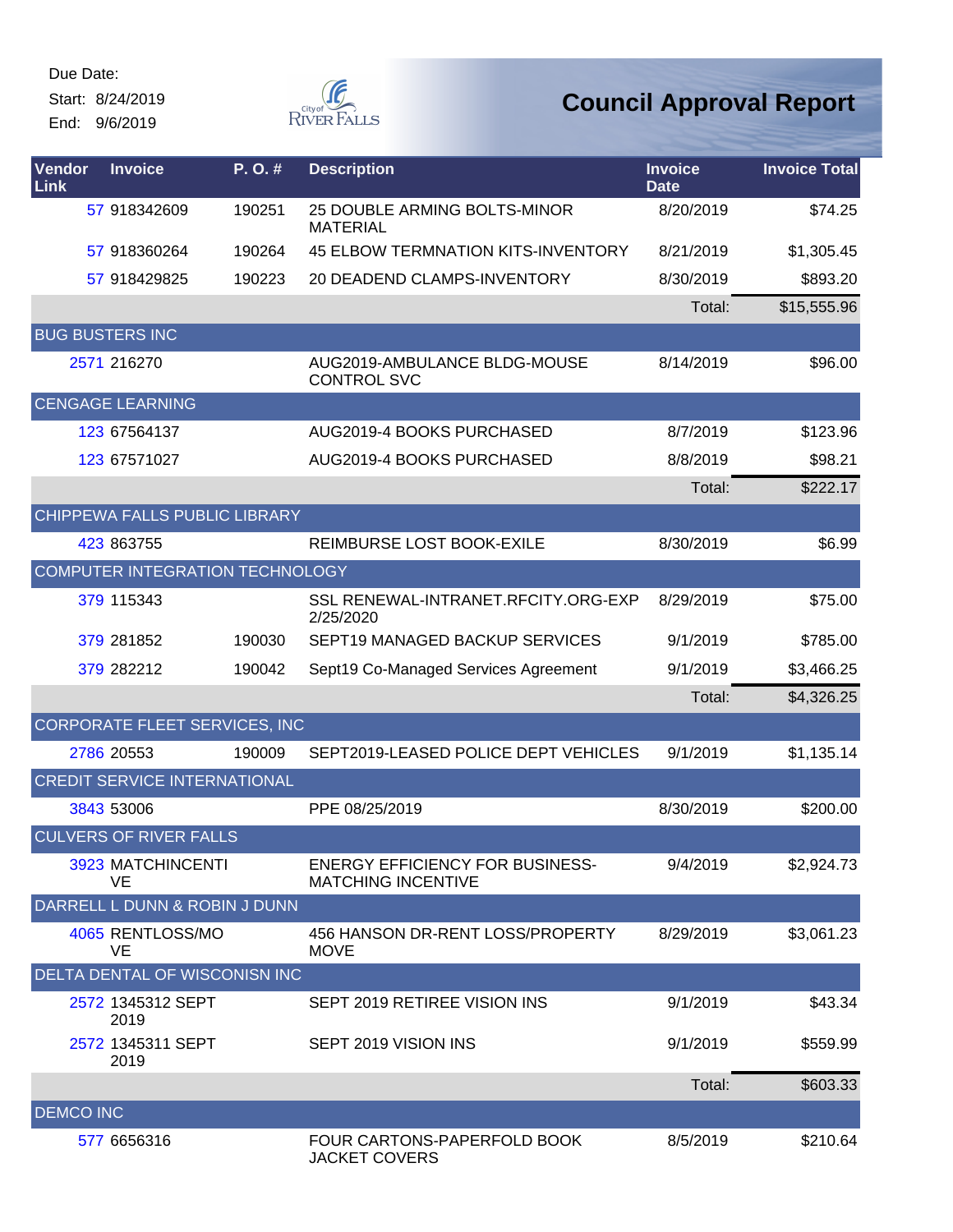Start: 8/24/2019 End: 9/6/2019



| Vendor<br>Link   | <b>Invoice</b>                      | P.O.#  | <b>Description</b>                                                  | <b>Invoice</b><br><b>Date</b> | <b>Invoice Total</b> |
|------------------|-------------------------------------|--------|---------------------------------------------------------------------|-------------------------------|----------------------|
|                  | 57 918342609                        | 190251 | 25 DOUBLE ARMING BOLTS-MINOR<br><b>MATERIAL</b>                     | 8/20/2019                     | \$74.25              |
|                  | 57 918360264                        | 190264 | <b>45 ELBOW TERMNATION KITS-INVENTORY</b>                           | 8/21/2019                     | \$1,305.45           |
|                  | 57 918429825                        | 190223 | 20 DEADEND CLAMPS-INVENTORY                                         | 8/30/2019                     | \$893.20             |
|                  |                                     |        |                                                                     | Total:                        | \$15,555.96          |
|                  | <b>BUG BUSTERS INC</b>              |        |                                                                     |                               |                      |
|                  | 2571 216270                         |        | AUG2019-AMBULANCE BLDG-MOUSE<br><b>CONTROL SVC</b>                  | 8/14/2019                     | \$96.00              |
|                  | <b>CENGAGE LEARNING</b>             |        |                                                                     |                               |                      |
|                  | 123 67564137                        |        | AUG2019-4 BOOKS PURCHASED                                           | 8/7/2019                      | \$123.96             |
|                  | 123 67571027                        |        | AUG2019-4 BOOKS PURCHASED                                           | 8/8/2019                      | \$98.21              |
|                  |                                     |        |                                                                     | Total:                        | \$222.17             |
|                  | CHIPPEWA FALLS PUBLIC LIBRARY       |        |                                                                     |                               |                      |
|                  | 423 863755                          |        | REIMBURSE LOST BOOK-EXILE                                           | 8/30/2019                     | \$6.99               |
|                  | COMPUTER INTEGRATION TECHNOLOGY     |        |                                                                     |                               |                      |
|                  | 379 115343                          |        | SSL RENEWAL-INTRANET.RFCITY.ORG-EXP<br>2/25/2020                    | 8/29/2019                     | \$75.00              |
|                  | 379 281852                          | 190030 | SEPT19 MANAGED BACKUP SERVICES                                      | 9/1/2019                      | \$785.00             |
|                  | 379 282212                          | 190042 | Sept19 Co-Managed Services Agreement                                | 9/1/2019                      | \$3,466.25           |
|                  |                                     |        |                                                                     | Total:                        | \$4,326.25           |
|                  | CORPORATE FLEET SERVICES, INC       |        |                                                                     |                               |                      |
|                  | 2786 20553                          | 190009 | SEPT2019-LEASED POLICE DEPT VEHICLES                                | 9/1/2019                      | \$1,135.14           |
|                  | <b>CREDIT SERVICE INTERNATIONAL</b> |        |                                                                     |                               |                      |
|                  | 3843 53006                          |        | PPE 08/25/2019                                                      | 8/30/2019                     | \$200.00             |
|                  | <b>CULVERS OF RIVER FALLS</b>       |        |                                                                     |                               |                      |
|                  | 3923 MATCHINCENTI<br>VE             |        | <b>ENERGY EFFICIENCY FOR BUSINESS-</b><br><b>MATCHING INCENTIVE</b> | 9/4/2019                      | \$2,924.73           |
|                  | DARRELL L DUNN & ROBIN J DUNN       |        |                                                                     |                               |                      |
|                  | 4065 RENTLOSS/MO<br><b>VE</b>       |        | 456 HANSON DR-RENT LOSS/PROPERTY<br><b>MOVE</b>                     | 8/29/2019                     | \$3,061.23           |
|                  | DELTA DENTAL OF WISCONISN INC       |        |                                                                     |                               |                      |
|                  | 2572 1345312 SEPT<br>2019           |        | SEPT 2019 RETIREE VISION INS                                        | 9/1/2019                      | \$43.34              |
|                  | 2572 1345311 SEPT<br>2019           |        | SEPT 2019 VISION INS                                                | 9/1/2019                      | \$559.99             |
|                  |                                     |        |                                                                     | Total:                        | \$603.33             |
| <b>DEMCO INC</b> |                                     |        |                                                                     |                               |                      |
|                  | 577 6656316                         |        | FOUR CARTONS-PAPERFOLD BOOK<br><b>JACKET COVERS</b>                 | 8/5/2019                      | \$210.64             |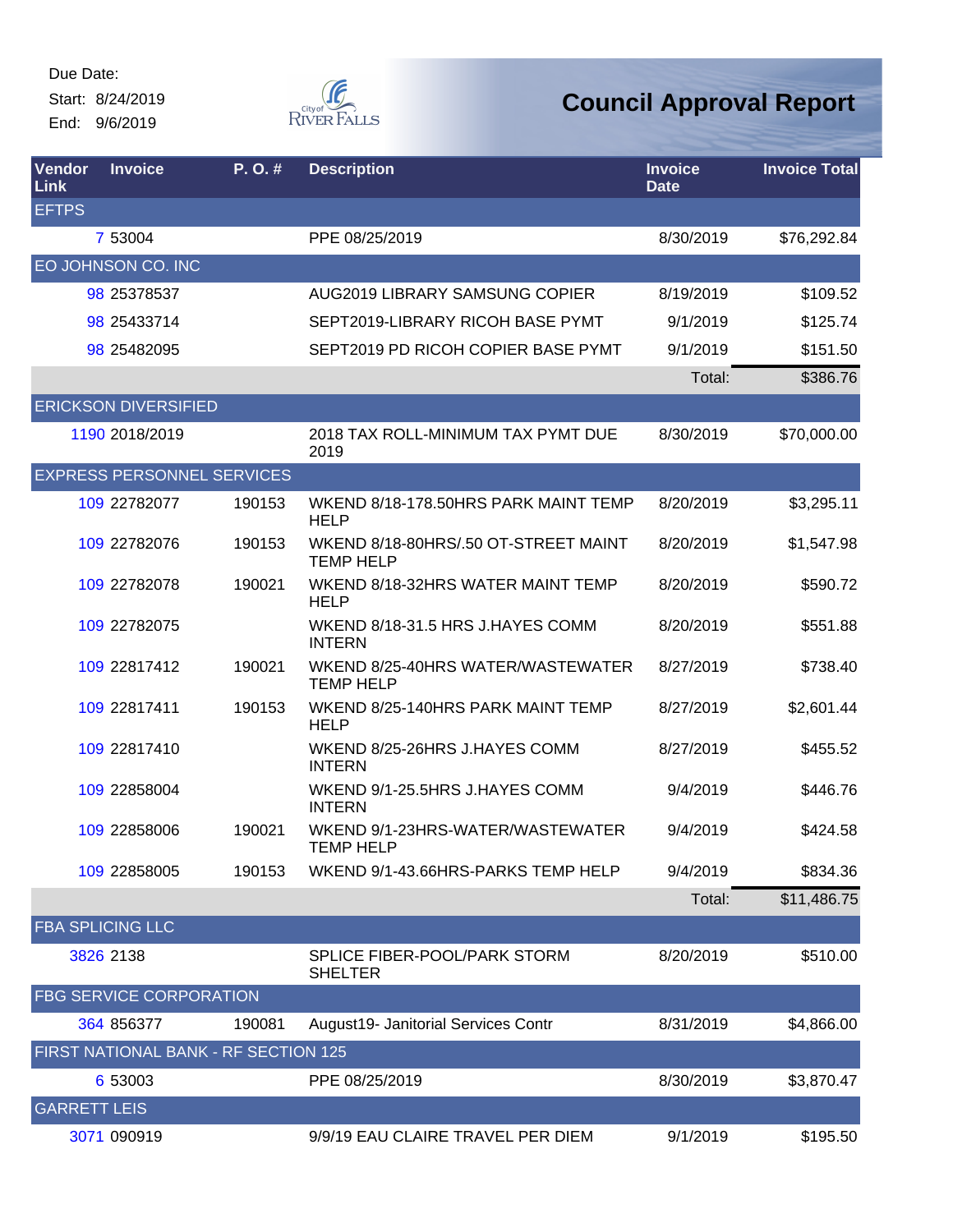Start: 8/24/2019 End: 9/6/2019



| Vendor<br>Link      | <b>Invoice</b>                       | P.O.#  | <b>Description</b>                                       | <b>Invoice</b><br><b>Date</b> | <b>Invoice Total</b> |
|---------------------|--------------------------------------|--------|----------------------------------------------------------|-------------------------------|----------------------|
| <b>EFTPS</b>        |                                      |        |                                                          |                               |                      |
|                     | 7 53004                              |        | PPE 08/25/2019                                           | 8/30/2019                     | \$76,292.84          |
|                     | EO JOHNSON CO. INC                   |        |                                                          |                               |                      |
|                     | 98 25378537                          |        | AUG2019 LIBRARY SAMSUNG COPIER                           | 8/19/2019                     | \$109.52             |
|                     | 98 25433714                          |        | SEPT2019-LIBRARY RICOH BASE PYMT                         | 9/1/2019                      | \$125.74             |
|                     | 98 25482095                          |        | SEPT2019 PD RICOH COPIER BASE PYMT                       | 9/1/2019                      | \$151.50             |
|                     |                                      |        |                                                          | Total:                        | \$386.76             |
|                     | <b>ERICKSON DIVERSIFIED</b>          |        |                                                          |                               |                      |
|                     | 1190 2018/2019                       |        | 2018 TAX ROLL-MINIMUM TAX PYMT DUE<br>2019               | 8/30/2019                     | \$70,000.00          |
|                     | <b>EXPRESS PERSONNEL SERVICES</b>    |        |                                                          |                               |                      |
|                     | 109 22782077                         | 190153 | WKEND 8/18-178.50HRS PARK MAINT TEMP<br>HELP             | 8/20/2019                     | \$3,295.11           |
|                     | 109 22782076                         | 190153 | WKEND 8/18-80HRS/.50 OT-STREET MAINT<br><b>TEMP HELP</b> | 8/20/2019                     | \$1,547.98           |
|                     | 109 22782078                         | 190021 | WKEND 8/18-32HRS WATER MAINT TEMP<br><b>HELP</b>         | 8/20/2019                     | \$590.72             |
|                     | 109 22782075                         |        | WKEND 8/18-31.5 HRS J.HAYES COMM<br><b>INTERN</b>        | 8/20/2019                     | \$551.88             |
|                     | 109 22817412                         | 190021 | WKEND 8/25-40HRS WATER/WASTEWATER<br><b>TEMP HELP</b>    | 8/27/2019                     | \$738.40             |
|                     | 109 22817411                         | 190153 | WKEND 8/25-140HRS PARK MAINT TEMP<br><b>HELP</b>         | 8/27/2019                     | \$2,601.44           |
|                     | 109 22817410                         |        | WKEND 8/25-26HRS J.HAYES COMM<br><b>INTERN</b>           | 8/27/2019                     | \$455.52             |
|                     | 109 22858004                         |        | WKEND 9/1-25.5HRS J.HAYES COMM<br><b>INTERN</b>          | 9/4/2019                      | \$446.76             |
|                     | 109 22858006                         | 190021 | WKEND 9/1-23HRS-WATER/WASTEWATER<br><b>TEMP HELP</b>     | 9/4/2019                      | \$424.58             |
|                     | 109 22858005                         | 190153 | WKEND 9/1-43.66HRS-PARKS TEMP HELP                       | 9/4/2019                      | \$834.36             |
|                     |                                      |        |                                                          | Total:                        | \$11,486.75          |
|                     | <b>FBA SPLICING LLC</b>              |        |                                                          |                               |                      |
|                     | 3826 2138                            |        | <b>SPLICE FIBER-POOL/PARK STORM</b><br><b>SHELTER</b>    | 8/20/2019                     | \$510.00             |
|                     | <b>FBG SERVICE CORPORATION</b>       |        |                                                          |                               |                      |
|                     | 364 856377                           | 190081 | August19- Janitorial Services Contr                      | 8/31/2019                     | \$4,866.00           |
|                     | FIRST NATIONAL BANK - RF SECTION 125 |        |                                                          |                               |                      |
|                     | 6 53003                              |        | PPE 08/25/2019                                           | 8/30/2019                     | \$3,870.47           |
| <b>GARRETT LEIS</b> |                                      |        |                                                          |                               |                      |
|                     | 3071 090919                          |        | 9/9/19 EAU CLAIRE TRAVEL PER DIEM                        | 9/1/2019                      | \$195.50             |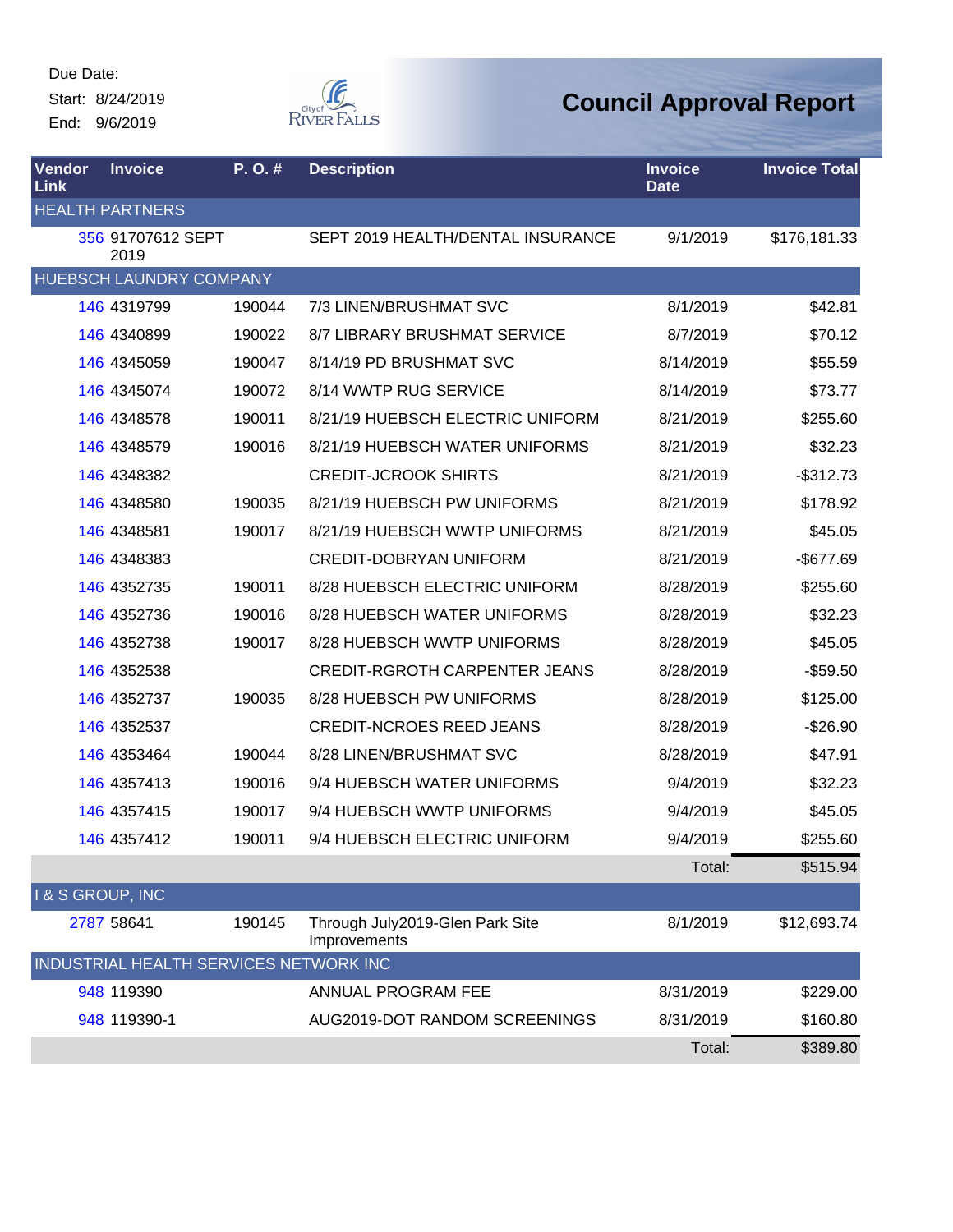Start: 8/24/2019 End: 9/6/2019



| Vendor<br>Link   | <b>Invoice</b>                         | P. O. # | <b>Description</b>                              | <b>Invoice</b><br><b>Date</b> | <b>Invoice Total</b> |
|------------------|----------------------------------------|---------|-------------------------------------------------|-------------------------------|----------------------|
|                  | <b>HEALTH PARTNERS</b>                 |         |                                                 |                               |                      |
|                  | 356 91707612 SEPT<br>2019              |         | SEPT 2019 HEALTH/DENTAL INSURANCE               | 9/1/2019                      | \$176,181.33         |
|                  | HUEBSCH LAUNDRY COMPANY                |         |                                                 |                               |                      |
|                  | 146 4319799                            | 190044  | 7/3 LINEN/BRUSHMAT SVC                          | 8/1/2019                      | \$42.81              |
|                  | 146 4340899                            | 190022  | <b>8/7 LIBRARY BRUSHMAT SERVICE</b>             | 8/7/2019                      | \$70.12              |
|                  | 146 4345059                            | 190047  | 8/14/19 PD BRUSHMAT SVC                         | 8/14/2019                     | \$55.59              |
|                  | 146 4345074                            | 190072  | 8/14 WWTP RUG SERVICE                           | 8/14/2019                     | \$73.77              |
|                  | 146 4348578                            | 190011  | 8/21/19 HUEBSCH ELECTRIC UNIFORM                | 8/21/2019                     | \$255.60             |
|                  | 146 4348579                            | 190016  | 8/21/19 HUEBSCH WATER UNIFORMS                  | 8/21/2019                     | \$32.23              |
|                  | 146 4348382                            |         | <b>CREDIT-JCROOK SHIRTS</b>                     | 8/21/2019                     | $-$ \$312.73         |
|                  | 146 4348580                            | 190035  | 8/21/19 HUEBSCH PW UNIFORMS                     | 8/21/2019                     | \$178.92             |
|                  | 146 4348581                            | 190017  | 8/21/19 HUEBSCH WWTP UNIFORMS                   | 8/21/2019                     | \$45.05              |
|                  | 146 4348383                            |         | <b>CREDIT-DOBRYAN UNIFORM</b>                   | 8/21/2019                     | $-$677.69$           |
|                  | 146 4352735                            | 190011  | 8/28 HUEBSCH ELECTRIC UNIFORM                   | 8/28/2019                     | \$255.60             |
|                  | 146 4352736                            | 190016  | 8/28 HUEBSCH WATER UNIFORMS                     | 8/28/2019                     | \$32.23              |
|                  | 146 4352738                            | 190017  | 8/28 HUEBSCH WWTP UNIFORMS                      | 8/28/2019                     | \$45.05              |
|                  | 146 4352538                            |         | <b>CREDIT-RGROTH CARPENTER JEANS</b>            | 8/28/2019                     | $-$59.50$            |
|                  | 146 4352737                            | 190035  | 8/28 HUEBSCH PW UNIFORMS                        | 8/28/2019                     | \$125.00             |
|                  | 146 4352537                            |         | <b>CREDIT-NCROES REED JEANS</b>                 | 8/28/2019                     | $-$26.90$            |
|                  | 146 4353464                            | 190044  | 8/28 LINEN/BRUSHMAT SVC                         | 8/28/2019                     | \$47.91              |
|                  | 146 4357413                            | 190016  | 9/4 HUEBSCH WATER UNIFORMS                      | 9/4/2019                      | \$32.23              |
|                  | 146 4357415                            | 190017  | 9/4 HUEBSCH WWTP UNIFORMS                       | 9/4/2019                      | \$45.05              |
|                  | 146 4357412                            | 190011  | 9/4 HUEBSCH ELECTRIC UNIFORM                    | 9/4/2019                      | \$255.60             |
|                  |                                        |         |                                                 | Total:                        | \$515.94             |
| I & S GROUP, INC |                                        |         |                                                 |                               |                      |
|                  | 2787 58641                             | 190145  | Through July2019-Glen Park Site<br>Improvements | 8/1/2019                      | \$12,693.74          |
|                  | INDUSTRIAL HEALTH SERVICES NETWORK INC |         |                                                 |                               |                      |
|                  | 948 119390                             |         | ANNUAL PROGRAM FEE                              | 8/31/2019                     | \$229.00             |
|                  | 948 119390-1                           |         | AUG2019-DOT RANDOM SCREENINGS                   | 8/31/2019                     | \$160.80             |
|                  |                                        |         |                                                 | Total:                        | \$389.80             |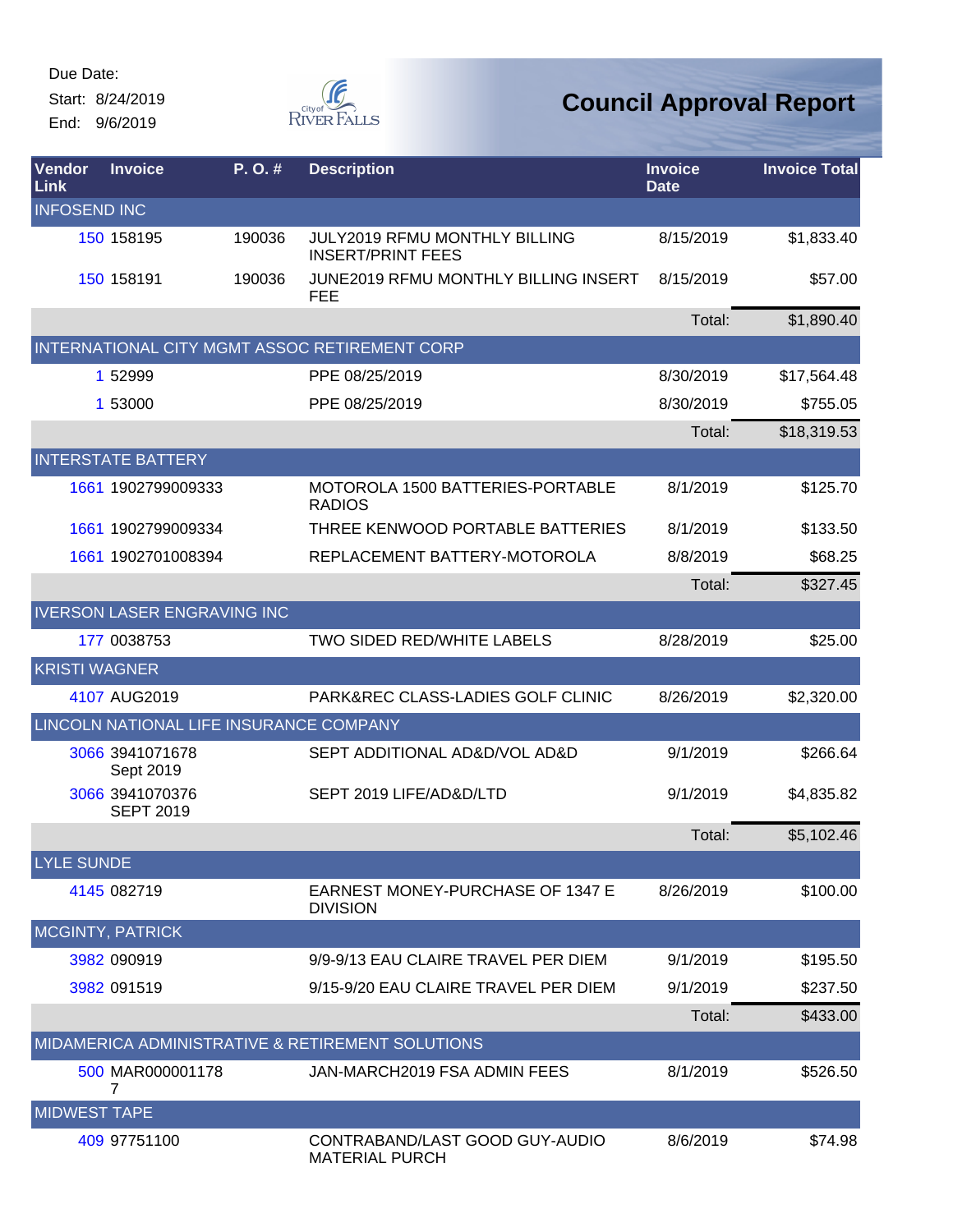Start: 8/24/2019 End: 9/6/2019



| Vendor<br>Link       | <b>Invoice</b>                          | P.O.#  | <b>Description</b>                                               | <b>Invoice</b><br><b>Date</b> | <b>Invoice Total</b> |
|----------------------|-----------------------------------------|--------|------------------------------------------------------------------|-------------------------------|----------------------|
| <b>INFOSEND INC</b>  |                                         |        |                                                                  |                               |                      |
|                      | 150 158195                              | 190036 | <b>JULY2019 RFMU MONTHLY BILLING</b><br><b>INSERT/PRINT FEES</b> | 8/15/2019                     | \$1,833.40           |
|                      | 150 158191                              | 190036 | JUNE2019 RFMU MONTHLY BILLING INSERT<br><b>FEE</b>               | 8/15/2019                     | \$57.00              |
|                      |                                         |        |                                                                  | Total:                        | \$1,890.40           |
|                      |                                         |        | INTERNATIONAL CITY MGMT ASSOC RETIREMENT CORP                    |                               |                      |
|                      | 1 52999                                 |        | PPE 08/25/2019                                                   | 8/30/2019                     | \$17,564.48          |
|                      | 1 53000                                 |        | PPE 08/25/2019                                                   | 8/30/2019                     | \$755.05             |
|                      |                                         |        |                                                                  | Total:                        | \$18,319.53          |
|                      | <b>INTERSTATE BATTERY</b>               |        |                                                                  |                               |                      |
|                      | 1661 1902799009333                      |        | MOTOROLA 1500 BATTERIES-PORTABLE<br><b>RADIOS</b>                | 8/1/2019                      | \$125.70             |
|                      | 1661 1902799009334                      |        | THREE KENWOOD PORTABLE BATTERIES                                 | 8/1/2019                      | \$133.50             |
|                      | 1661 1902701008394                      |        | REPLACEMENT BATTERY-MOTOROLA                                     | 8/8/2019                      | \$68.25              |
|                      |                                         |        |                                                                  | Total:                        | \$327.45             |
|                      | <b>IVERSON LASER ENGRAVING INC</b>      |        |                                                                  |                               |                      |
|                      | 177 0038753                             |        | TWO SIDED RED/WHITE LABELS                                       | 8/28/2019                     | \$25.00              |
| <b>KRISTI WAGNER</b> |                                         |        |                                                                  |                               |                      |
|                      | 4107 AUG2019                            |        | PARK&REC CLASS-LADIES GOLF CLINIC                                | 8/26/2019                     | \$2,320.00           |
|                      | LINCOLN NATIONAL LIFE INSURANCE COMPANY |        |                                                                  |                               |                      |
|                      | 3066 3941071678<br>Sept 2019            |        | SEPT ADDITIONAL AD&D/VOL AD&D                                    | 9/1/2019                      | \$266.64             |
|                      | 3066 3941070376<br><b>SEPT 2019</b>     |        | SEPT 2019 LIFE/AD&D/LTD                                          | 9/1/2019                      | \$4,835.82           |
|                      |                                         |        |                                                                  | Total:                        | \$5,102.46           |
| <b>LYLE SUNDE</b>    |                                         |        |                                                                  |                               |                      |
|                      | 4145 082719                             |        | <b>EARNEST MONEY-PURCHASE OF 1347 E</b><br><b>DIVISION</b>       | 8/26/2019                     | \$100.00             |
|                      | <b>MCGINTY, PATRICK</b>                 |        |                                                                  |                               |                      |
|                      | 3982 090919                             |        | 9/9-9/13 EAU CLAIRE TRAVEL PER DIEM                              | 9/1/2019                      | \$195.50             |
|                      | 3982 091519                             |        | 9/15-9/20 EAU CLAIRE TRAVEL PER DIEM                             | 9/1/2019                      | \$237.50             |
|                      |                                         |        |                                                                  | Total:                        | \$433.00             |
|                      |                                         |        | MIDAMERICA ADMINISTRATIVE & RETIREMENT SOLUTIONS                 |                               |                      |
|                      | 500 MAR000001178<br>7                   |        | JAN-MARCH2019 FSA ADMIN FEES                                     | 8/1/2019                      | \$526.50             |
| <b>MIDWEST TAPE</b>  |                                         |        |                                                                  |                               |                      |
|                      | 409 97751100                            |        | CONTRABAND/LAST GOOD GUY-AUDIO<br><b>MATERIAL PURCH</b>          | 8/6/2019                      | \$74.98              |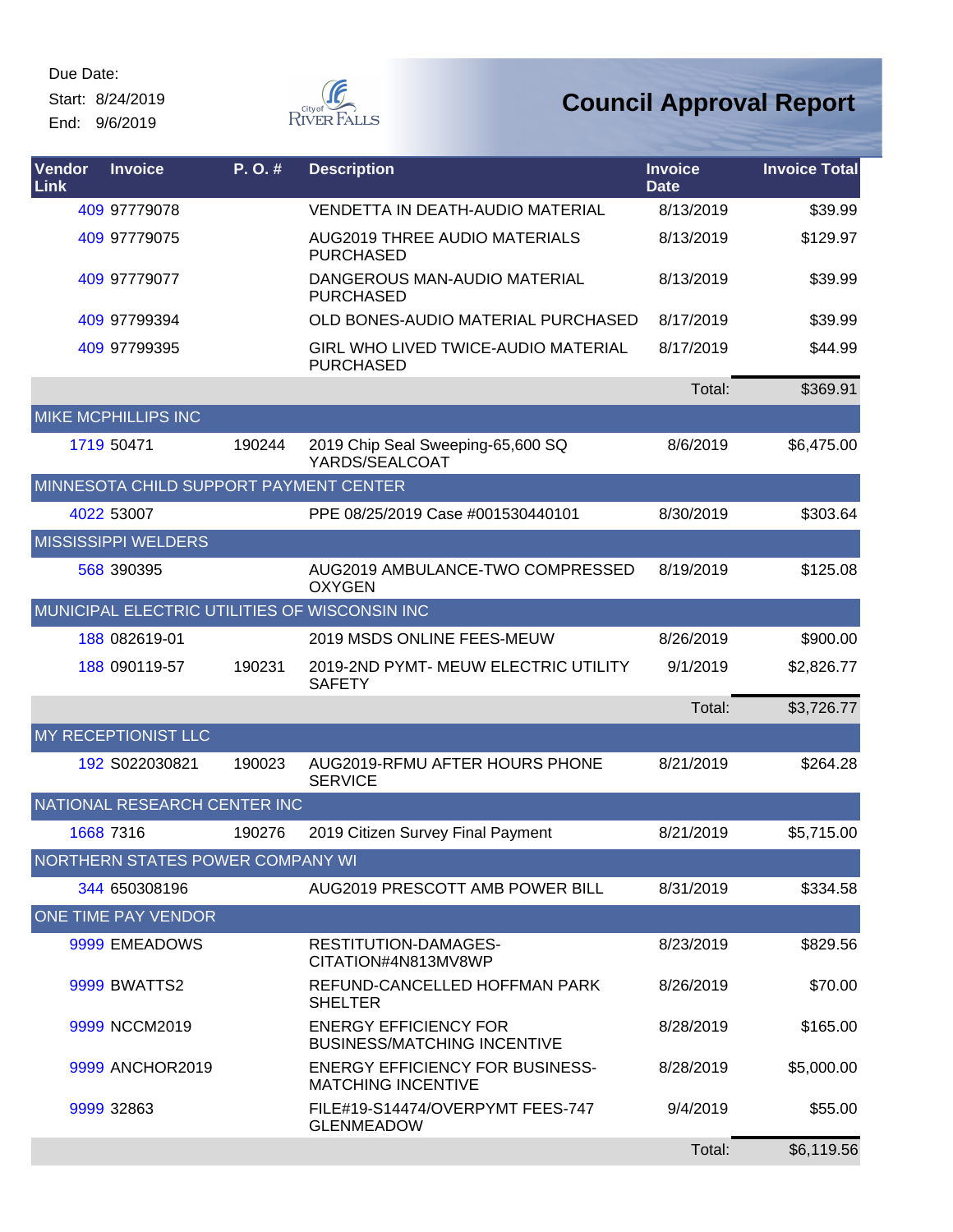Start: 8/24/2019 End: 9/6/2019



| Vendor<br><b>Link</b> | <b>Invoice</b>                         | P. O. # | <b>Description</b>                                                  | <b>Invoice</b><br><b>Date</b> | <b>Invoice Total</b> |
|-----------------------|----------------------------------------|---------|---------------------------------------------------------------------|-------------------------------|----------------------|
|                       | 409 97779078                           |         | <b>VENDETTA IN DEATH-AUDIO MATERIAL</b>                             | 8/13/2019                     | \$39.99              |
|                       | 409 97779075                           |         | <b>AUG2019 THREE AUDIO MATERIALS</b><br><b>PURCHASED</b>            | 8/13/2019                     | \$129.97             |
|                       | 409 97779077                           |         | DANGEROUS MAN-AUDIO MATERIAL<br><b>PURCHASED</b>                    | 8/13/2019                     | \$39.99              |
|                       | 409 97799394                           |         | OLD BONES-AUDIO MATERIAL PURCHASED                                  | 8/17/2019                     | \$39.99              |
|                       | 409 97799395                           |         | <b>GIRL WHO LIVED TWICE-AUDIO MATERIAL</b><br><b>PURCHASED</b>      | 8/17/2019                     | \$44.99              |
|                       |                                        |         |                                                                     | Total:                        | \$369.91             |
|                       | <b>MIKE MCPHILLIPS INC</b>             |         |                                                                     |                               |                      |
|                       | 1719 50471                             | 190244  | 2019 Chip Seal Sweeping-65,600 SQ<br>YARDS/SEALCOAT                 | 8/6/2019                      | \$6,475.00           |
|                       | MINNESOTA CHILD SUPPORT PAYMENT CENTER |         |                                                                     |                               |                      |
|                       | 4022 53007                             |         | PPE 08/25/2019 Case #001530440101                                   | 8/30/2019                     | \$303.64             |
|                       | <b>MISSISSIPPI WELDERS</b>             |         |                                                                     |                               |                      |
|                       | 568 390395                             |         | AUG2019 AMBULANCE-TWO COMPRESSED<br><b>OXYGEN</b>                   | 8/19/2019                     | \$125.08             |
|                       |                                        |         | MUNICIPAL ELECTRIC UTILITIES OF WISCONSIN INC                       |                               |                      |
|                       | 188 082619-01                          |         | 2019 MSDS ONLINE FEES-MEUW                                          | 8/26/2019                     | \$900.00             |
|                       | 188 090119-57                          | 190231  | 2019-2ND PYMT- MEUW ELECTRIC UTILITY<br><b>SAFETY</b>               | 9/1/2019                      | \$2,826.77           |
|                       |                                        |         |                                                                     | Total:                        | \$3,726.77           |
|                       | <b>MY RECEPTIONIST LLC</b>             |         |                                                                     |                               |                      |
|                       | 192 S022030821                         | 190023  | AUG2019-RFMU AFTER HOURS PHONE<br><b>SERVICE</b>                    | 8/21/2019                     | \$264.28             |
|                       | NATIONAL RESEARCH CENTER INC           |         |                                                                     |                               |                      |
|                       | 1668 7316                              | 190276  | 2019 Citizen Survey Final Payment                                   | 8/21/2019                     | \$5,715.00           |
|                       | NORTHERN STATES POWER COMPANY WI       |         |                                                                     |                               |                      |
|                       | 344 650308196                          |         | AUG2019 PRESCOTT AMB POWER BILL                                     | 8/31/2019                     | \$334.58             |
|                       | <b>ONE TIME PAY VENDOR</b>             |         |                                                                     |                               |                      |
|                       | 9999 EMEADOWS                          |         | RESTITUTION-DAMAGES-<br>CITATION#4N813MV8WP                         | 8/23/2019                     | \$829.56             |
|                       | <b>9999 BWATTS2</b>                    |         | REFUND-CANCELLED HOFFMAN PARK<br><b>SHELTER</b>                     | 8/26/2019                     | \$70.00              |
|                       | 9999 NCCM2019                          |         | <b>ENERGY EFFICIENCY FOR</b><br><b>BUSINESS/MATCHING INCENTIVE</b>  | 8/28/2019                     | \$165.00             |
|                       | 9999 ANCHOR2019                        |         | <b>ENERGY EFFICIENCY FOR BUSINESS-</b><br><b>MATCHING INCENTIVE</b> | 8/28/2019                     | \$5,000.00           |
|                       | 9999 32863                             |         | FILE#19-S14474/OVERPYMT FEES-747<br><b>GLENMEADOW</b>               | 9/4/2019                      | \$55.00              |
|                       |                                        |         |                                                                     | Total:                        | \$6,119.56           |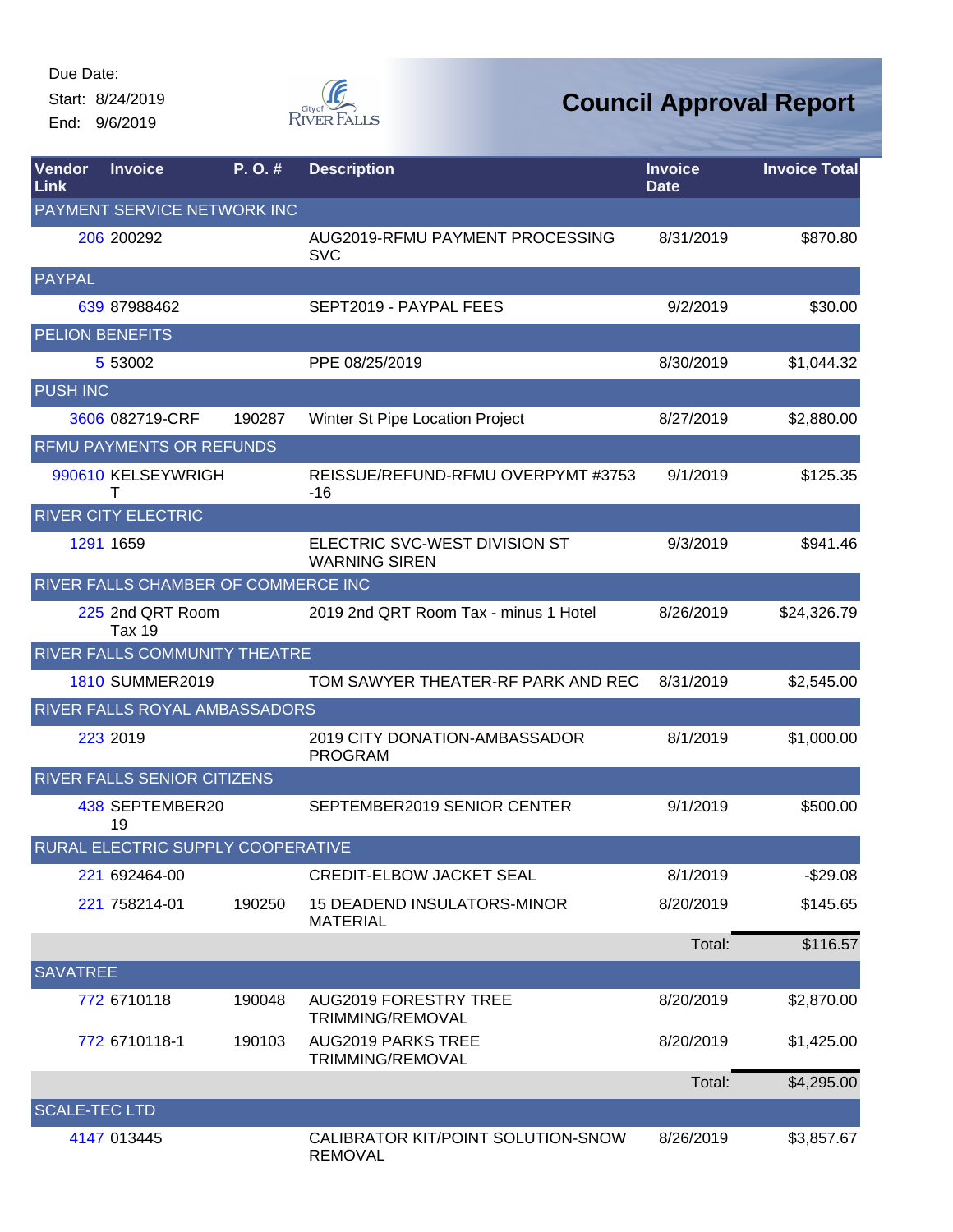Start: 8/24/2019 End: 9/6/2019



| Vendor<br>Link         | <b>Invoice</b>                           | P.O.#  | <b>Description</b>                                    | <b>Invoice</b><br><b>Date</b> | <b>Invoice Total</b> |
|------------------------|------------------------------------------|--------|-------------------------------------------------------|-------------------------------|----------------------|
|                        | PAYMENT SERVICE NETWORK INC              |        |                                                       |                               |                      |
|                        | 206 200292                               |        | AUG2019-RFMU PAYMENT PROCESSING<br><b>SVC</b>         | 8/31/2019                     | \$870.80             |
| PAYPAL                 |                                          |        |                                                       |                               |                      |
|                        | 639 87988462                             |        | SEPT2019 - PAYPAL FEES                                | 9/2/2019                      | \$30.00              |
| <b>PELION BENEFITS</b> |                                          |        |                                                       |                               |                      |
|                        | 5 53002                                  |        | PPE 08/25/2019                                        | 8/30/2019                     | \$1,044.32           |
| <b>PUSH INC</b>        |                                          |        |                                                       |                               |                      |
|                        | 3606 082719-CRF                          | 190287 | Winter St Pipe Location Project                       | 8/27/2019                     | \$2,880.00           |
|                        | RFMU PAYMENTS OR REFUNDS                 |        |                                                       |                               |                      |
|                        | 990610 KELSEYWRIGH<br>т                  |        | REISSUE/REFUND-RFMU OVERPYMT #3753<br>-16             | 9/1/2019                      | \$125.35             |
|                        | <b>RIVER CITY ELECTRIC</b>               |        |                                                       |                               |                      |
|                        | 1291 1659                                |        | ELECTRIC SVC-WEST DIVISION ST<br><b>WARNING SIREN</b> | 9/3/2019                      | \$941.46             |
|                        | RIVER FALLS CHAMBER OF COMMERCE INC      |        |                                                       |                               |                      |
|                        | 225 2nd QRT Room<br><b>Tax 19</b>        |        | 2019 2nd QRT Room Tax - minus 1 Hotel                 | 8/26/2019                     | \$24,326.79          |
|                        | RIVER FALLS COMMUNITY THEATRE            |        |                                                       |                               |                      |
|                        | <b>1810 SUMMER2019</b>                   |        | TOM SAWYER THEATER-RF PARK AND REC                    | 8/31/2019                     | \$2,545.00           |
|                        | RIVER FALLS ROYAL AMBASSADORS            |        |                                                       |                               |                      |
|                        | 223 2019                                 |        | 2019 CITY DONATION-AMBASSADOR<br><b>PROGRAM</b>       | 8/1/2019                      | \$1,000.00           |
|                        | <b>RIVER FALLS SENIOR CITIZENS</b>       |        |                                                       |                               |                      |
|                        | 438 SEPTEMBER20<br>19                    |        | SEPTEMBER2019 SENIOR CENTER                           | 9/1/2019                      | \$500.00             |
|                        | <b>RURAL ELECTRIC SUPPLY COOPERATIVE</b> |        |                                                       |                               |                      |
|                        | 221 692464-00                            |        | <b>CREDIT-ELBOW JACKET SEAL</b>                       | 8/1/2019                      | $-$29.08$            |
|                        | 221 758214-01                            | 190250 | <b>15 DEADEND INSULATORS-MINOR</b><br><b>MATERIAL</b> | 8/20/2019                     | \$145.65             |
|                        |                                          |        |                                                       | Total:                        | \$116.57             |
| <b>SAVATREE</b>        |                                          |        |                                                       |                               |                      |
|                        | 772 6710118                              | 190048 | <b>AUG2019 FORESTRY TREE</b><br>TRIMMING/REMOVAL      | 8/20/2019                     | \$2,870.00           |
|                        | 772 6710118-1                            | 190103 | <b>AUG2019 PARKS TREE</b><br>TRIMMING/REMOVAL         | 8/20/2019                     | \$1,425.00           |
|                        |                                          |        |                                                       | Total:                        | \$4,295.00           |
| <b>SCALE-TEC LTD</b>   |                                          |        |                                                       |                               |                      |
|                        | 4147 013445                              |        | CALIBRATOR KIT/POINT SOLUTION-SNOW<br><b>REMOVAL</b>  | 8/26/2019                     | \$3,857.67           |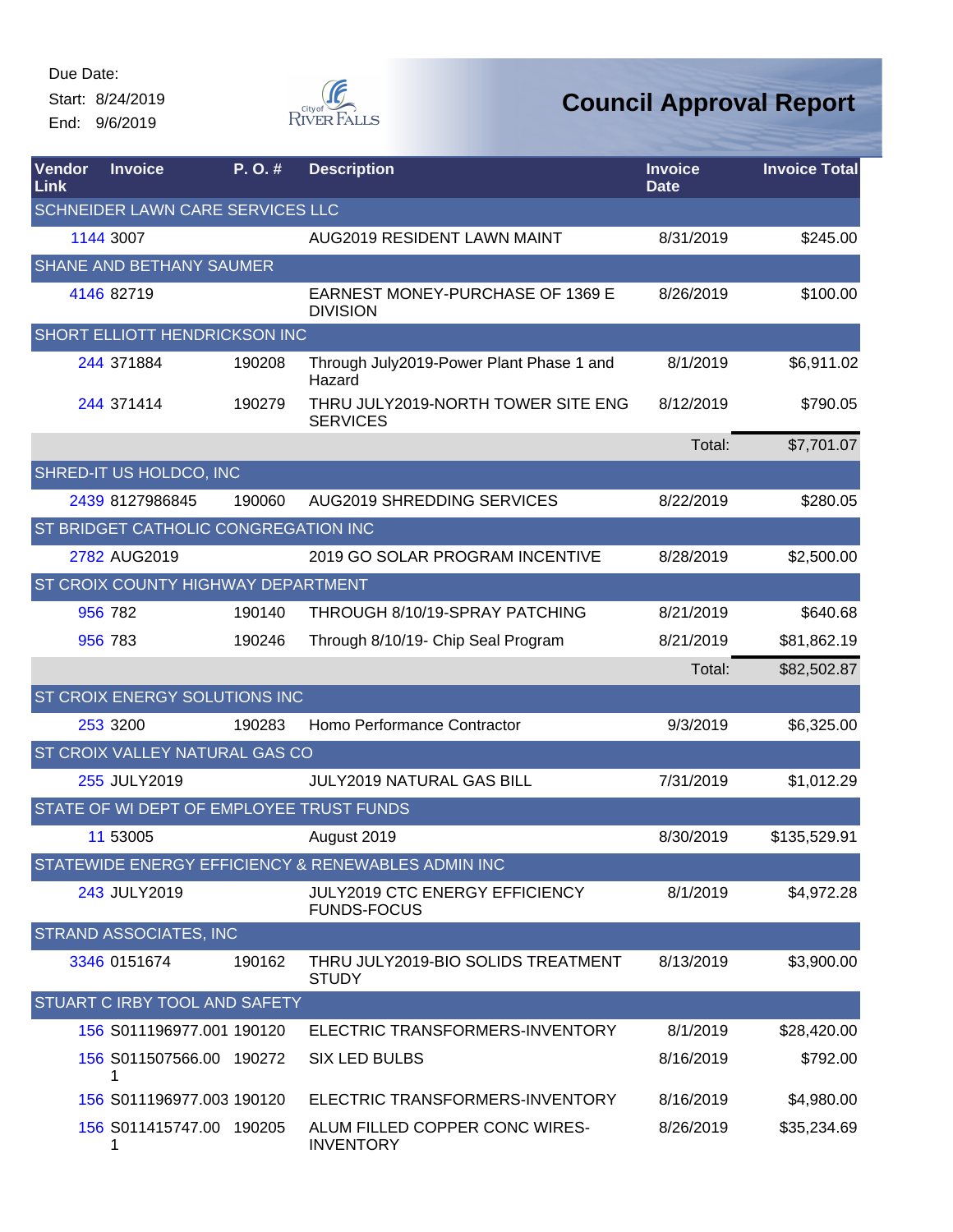Start: 8/24/2019 End: 9/6/2019



| <b>Vendor</b><br>Link | <b>Invoice</b>                            | P.O.#  | <b>Description</b>                                    | <b>Invoice</b><br><b>Date</b> | <b>Invoice Total</b> |
|-----------------------|-------------------------------------------|--------|-------------------------------------------------------|-------------------------------|----------------------|
|                       | SCHNEIDER LAWN CARE SERVICES LLC          |        |                                                       |                               |                      |
|                       | 1144 3007                                 |        | AUG2019 RESIDENT LAWN MAINT                           | 8/31/2019                     | \$245.00             |
|                       | <b>SHANE AND BETHANY SAUMER</b>           |        |                                                       |                               |                      |
|                       | 4146 82719                                |        | EARNEST MONEY-PURCHASE OF 1369 E<br><b>DIVISION</b>   | 8/26/2019                     | \$100.00             |
|                       | <b>SHORT ELLIOTT HENDRICKSON INC</b>      |        |                                                       |                               |                      |
|                       | 244 371884                                | 190208 | Through July2019-Power Plant Phase 1 and<br>Hazard    | 8/1/2019                      | \$6,911.02           |
|                       | 244 371414                                | 190279 | THRU JULY2019-NORTH TOWER SITE ENG<br><b>SERVICES</b> | 8/12/2019                     | \$790.05             |
|                       |                                           |        |                                                       | Total:                        | \$7,701.07           |
|                       | SHRED-IT US HOLDCO, INC                   |        |                                                       |                               |                      |
|                       | 2439 8127986845                           | 190060 | AUG2019 SHREDDING SERVICES                            | 8/22/2019                     | \$280.05             |
|                       | ST BRIDGET CATHOLIC CONGREGATION INC      |        |                                                       |                               |                      |
|                       | 2782 AUG2019                              |        | 2019 GO SOLAR PROGRAM INCENTIVE                       | 8/28/2019                     | \$2,500.00           |
|                       | <b>ST CROIX COUNTY HIGHWAY DEPARTMENT</b> |        |                                                       |                               |                      |
|                       | 956 782                                   | 190140 | THROUGH 8/10/19-SPRAY PATCHING                        | 8/21/2019                     | \$640.68             |
|                       | 956 783                                   | 190246 | Through 8/10/19- Chip Seal Program                    | 8/21/2019                     | \$81,862.19          |
|                       |                                           |        |                                                       | Total:                        | \$82,502.87          |
|                       | ST CROIX ENERGY SOLUTIONS INC             |        |                                                       |                               |                      |
|                       | 253 3200                                  | 190283 | Homo Performance Contractor                           | 9/3/2019                      | \$6,325.00           |
|                       | ST CROIX VALLEY NATURAL GAS CO            |        |                                                       |                               |                      |
|                       | 255 JULY2019                              |        | <b>JULY2019 NATURAL GAS BILL</b>                      | 7/31/2019                     | \$1,012.29           |
|                       | STATE OF WI DEPT OF EMPLOYEE TRUST FUNDS  |        |                                                       |                               |                      |
|                       | 11 53005                                  |        | August 2019                                           | 8/30/2019                     | \$135,529.91         |
|                       |                                           |        | STATEWIDE ENERGY EFFICIENCY & RENEWABLES ADMIN INC    |                               |                      |
|                       | 243 JULY2019                              |        | JULY2019 CTC ENERGY EFFICIENCY<br><b>FUNDS-FOCUS</b>  | 8/1/2019                      | \$4,972.28           |
|                       | STRAND ASSOCIATES, INC                    |        |                                                       |                               |                      |
|                       | 3346 0151674                              | 190162 | THRU JULY2019-BIO SOLIDS TREATMENT<br><b>STUDY</b>    | 8/13/2019                     | \$3,900.00           |
|                       | STUART C IRBY TOOL AND SAFETY             |        |                                                       |                               |                      |
|                       | 156 S011196977.001 190120                 |        | ELECTRIC TRANSFORMERS-INVENTORY                       | 8/1/2019                      | \$28,420.00          |
|                       | 156 S011507566.00 190272<br>1             |        | SIX LED BULBS                                         | 8/16/2019                     | \$792.00             |
|                       | 156 S011196977.003 190120                 |        | ELECTRIC TRANSFORMERS-INVENTORY                       | 8/16/2019                     | \$4,980.00           |
|                       | 156 S011415747.00 190205<br>1             |        | ALUM FILLED COPPER CONC WIRES-<br><b>INVENTORY</b>    | 8/26/2019                     | \$35,234.69          |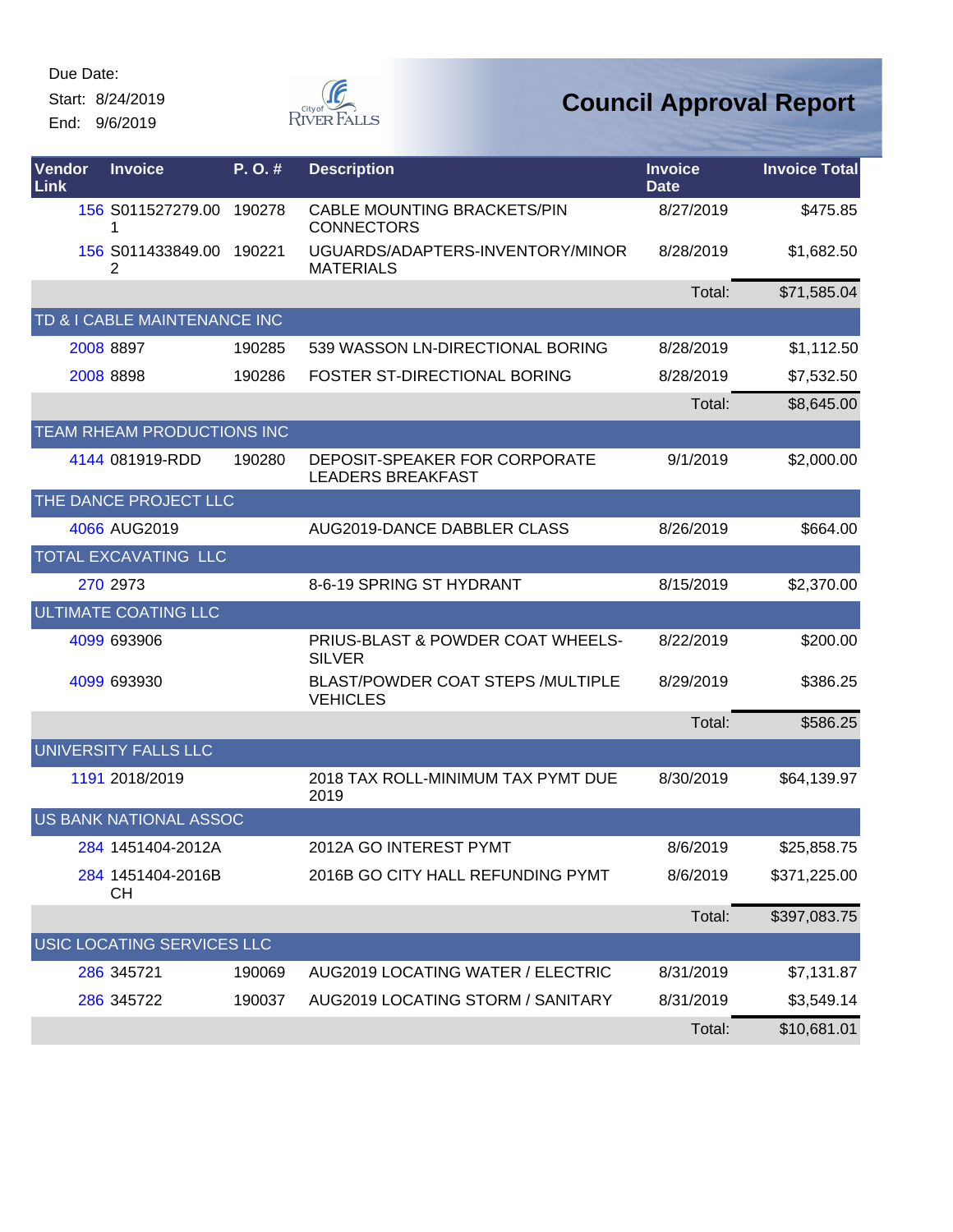Start: 8/24/2019

End: 9/6/2019



| Vendor<br>Link | <b>Invoice</b>                | P.O.#  | <b>Description</b>                                          | <b>Invoice</b><br><b>Date</b> | <b>Invoice Total</b> |
|----------------|-------------------------------|--------|-------------------------------------------------------------|-------------------------------|----------------------|
|                | 156 S011527279.00 190278<br>1 |        | CABLE MOUNTING BRACKETS/PIN<br><b>CONNECTORS</b>            | 8/27/2019                     | \$475.85             |
|                | 156 S011433849.00<br>2        | 190221 | UGUARDS/ADAPTERS-INVENTORY/MINOR<br><b>MATERIALS</b>        | 8/28/2019                     | \$1,682.50           |
|                |                               |        |                                                             | Total:                        | \$71,585.04          |
|                | TD & I CABLE MAINTENANCE INC  |        |                                                             |                               |                      |
|                | 2008 8897                     | 190285 | 539 WASSON LN-DIRECTIONAL BORING                            | 8/28/2019                     | \$1,112.50           |
|                | 2008 8898                     | 190286 | <b>FOSTER ST-DIRECTIONAL BORING</b>                         | 8/28/2019                     | \$7,532.50           |
|                |                               |        |                                                             | Total:                        | \$8,645.00           |
|                | TEAM RHEAM PRODUCTIONS INC    |        |                                                             |                               |                      |
|                | 4144 081919-RDD               | 190280 | DEPOSIT-SPEAKER FOR CORPORATE<br><b>LEADERS BREAKFAST</b>   | 9/1/2019                      | \$2,000.00           |
|                | THE DANCE PROJECT LLC         |        |                                                             |                               |                      |
|                | 4066 AUG2019                  |        | AUG2019-DANCE DABBLER CLASS                                 | 8/26/2019                     | \$664.00             |
|                | TOTAL EXCAVATING LLC          |        |                                                             |                               |                      |
|                | 270 2973                      |        | 8-6-19 SPRING ST HYDRANT                                    | 8/15/2019                     | \$2,370.00           |
|                | ULTIMATE COATING LLC          |        |                                                             |                               |                      |
|                | 4099 693906                   |        | PRIUS-BLAST & POWDER COAT WHEELS-<br><b>SILVER</b>          | 8/22/2019                     | \$200.00             |
|                | 4099 693930                   |        | <b>BLAST/POWDER COAT STEPS /MULTIPLE</b><br><b>VEHICLES</b> | 8/29/2019                     | \$386.25             |
|                |                               |        |                                                             | Total:                        | \$586.25             |
|                | UNIVERSITY FALLS LLC          |        |                                                             |                               |                      |
|                | 1191 2018/2019                |        | 2018 TAX ROLL-MINIMUM TAX PYMT DUE<br>2019                  | 8/30/2019                     | \$64,139.97          |
|                | US BANK NATIONAL ASSOC        |        |                                                             |                               |                      |
|                | 284 1451404-2012A             |        | 2012A GO INTEREST PYMT                                      | 8/6/2019                      | \$25,858.75          |
|                | 284 1451404-2016B<br>CН       |        | 2016B GO CITY HALL REFUNDING PYMT                           | 8/6/2019                      | \$371,225.00         |
|                |                               |        |                                                             | Total:                        | \$397,083.75         |
|                | USIC LOCATING SERVICES LLC    |        |                                                             |                               |                      |
|                | 286 345721                    | 190069 | AUG2019 LOCATING WATER / ELECTRIC                           | 8/31/2019                     | \$7,131.87           |
|                | 286 345722                    | 190037 | AUG2019 LOCATING STORM / SANITARY                           | 8/31/2019                     | \$3,549.14           |
|                |                               |        |                                                             | Total:                        | \$10,681.01          |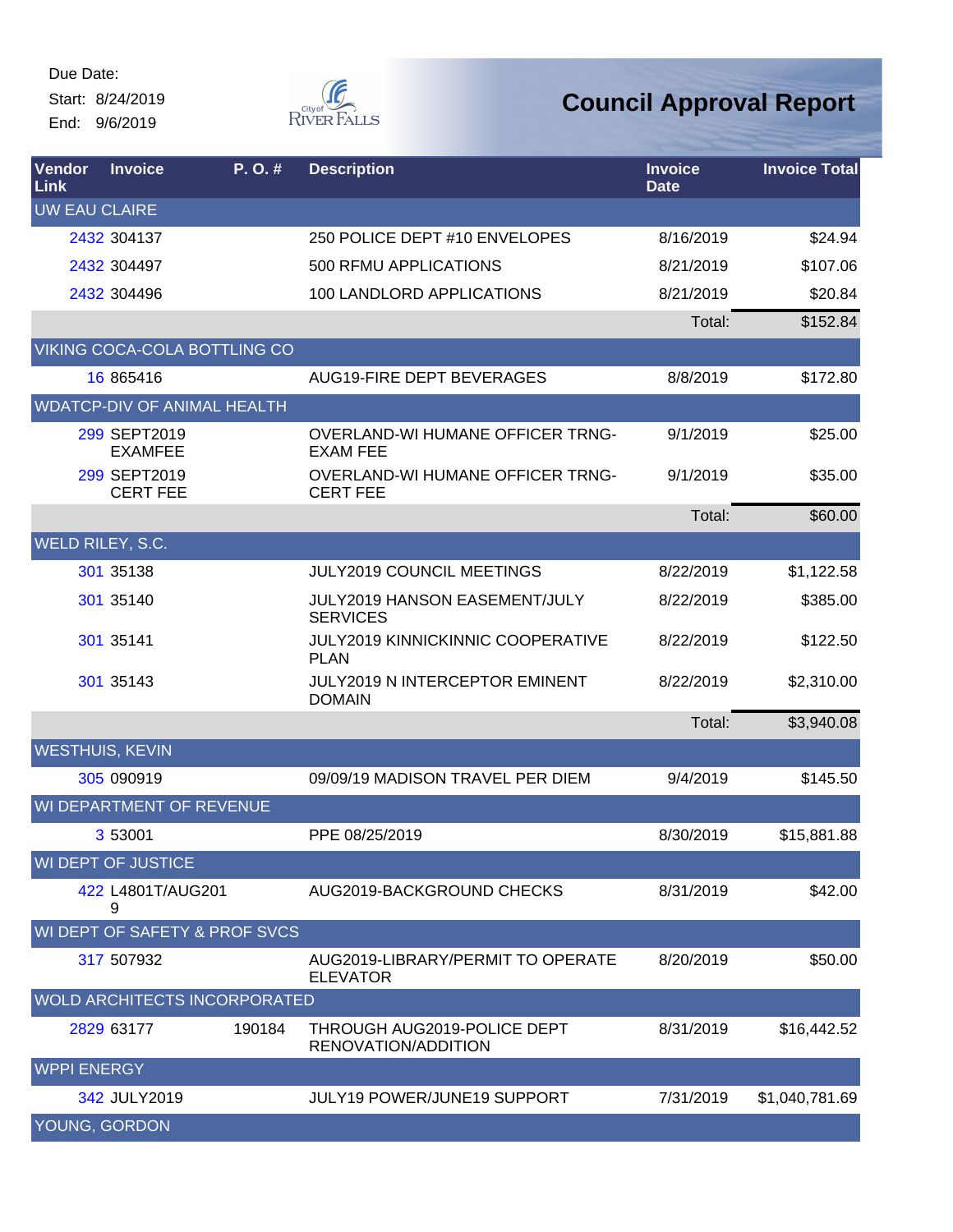Due Date: Start: 8/24/2019

End: 9/6/2019



| <b>Vendor</b><br><b>Link</b> | <b>Invoice</b>                           | P.O.#  | <b>Description</b>                                         | <b>Invoice</b><br><b>Date</b> | <b>Invoice Total</b> |
|------------------------------|------------------------------------------|--------|------------------------------------------------------------|-------------------------------|----------------------|
| <b>UW EAU CLAIRE</b>         |                                          |        |                                                            |                               |                      |
|                              | 2432 304137                              |        | 250 POLICE DEPT #10 ENVELOPES                              | 8/16/2019                     | \$24.94              |
|                              | 2432 304497                              |        | 500 RFMU APPLICATIONS                                      | 8/21/2019                     | \$107.06             |
|                              | 2432 304496                              |        | 100 LANDLORD APPLICATIONS                                  | 8/21/2019                     | \$20.84              |
|                              |                                          |        |                                                            | Total:                        | \$152.84             |
|                              | VIKING COCA-COLA BOTTLING CO             |        |                                                            |                               |                      |
|                              | 16 865416                                |        | AUG19-FIRE DEPT BEVERAGES                                  | 8/8/2019                      | \$172.80             |
|                              | <b>WDATCP-DIV OF ANIMAL HEALTH</b>       |        |                                                            |                               |                      |
|                              | 299 SEPT2019<br><b>EXAMFEE</b>           |        | <b>OVERLAND-WI HUMANE OFFICER TRNG-</b><br><b>EXAM FEE</b> | 9/1/2019                      | \$25.00              |
|                              | 299 SEPT2019<br><b>CERT FEE</b>          |        | <b>OVERLAND-WI HUMANE OFFICER TRNG-</b><br><b>CERT FEE</b> | 9/1/2019                      | \$35.00              |
|                              |                                          |        |                                                            | Total:                        | \$60.00              |
|                              | WELD RILEY, S.C.                         |        |                                                            |                               |                      |
|                              | 301 35138                                |        | JULY2019 COUNCIL MEETINGS                                  | 8/22/2019                     | \$1,122.58           |
|                              | 301 35140                                |        | JULY2019 HANSON EASEMENT/JULY<br><b>SERVICES</b>           | 8/22/2019                     | \$385.00             |
|                              | 301 35141                                |        | JULY2019 KINNICKINNIC COOPERATIVE<br><b>PLAN</b>           | 8/22/2019                     | \$122.50             |
|                              | 301 35143                                |        | JULY2019 N INTERCEPTOR EMINENT<br><b>DOMAIN</b>            | 8/22/2019                     | \$2,310.00           |
|                              |                                          |        |                                                            | Total:                        | \$3,940.08           |
|                              | <b>WESTHUIS, KEVIN</b>                   |        |                                                            |                               |                      |
|                              | 305 090919                               |        | 09/09/19 MADISON TRAVEL PER DIEM                           | 9/4/2019                      | \$145.50             |
|                              | WI DEPARTMENT OF REVENUE                 |        |                                                            |                               |                      |
|                              | 3 53001                                  |        | PPE 08/25/2019                                             | 8/30/2019                     | \$15,881.88          |
|                              | <b>WI DEPT OF JUSTICE</b>                |        |                                                            |                               |                      |
|                              | 422 L4801T/AUG201<br>9                   |        | AUG2019-BACKGROUND CHECKS                                  | 8/31/2019                     | \$42.00              |
|                              | <b>WI DEPT OF SAFETY &amp; PROF SVCS</b> |        |                                                            |                               |                      |
|                              | 317 507932                               |        | AUG2019-LIBRARY/PERMIT TO OPERATE<br><b>ELEVATOR</b>       | 8/20/2019                     | \$50.00              |
|                              | <b>WOLD ARCHITECTS INCORPORATED</b>      |        |                                                            |                               |                      |
|                              | 2829 63177                               | 190184 | THROUGH AUG2019-POLICE DEPT<br>RENOVATION/ADDITION         | 8/31/2019                     | \$16,442.52          |
| <b>WPPI ENERGY</b>           |                                          |        |                                                            |                               |                      |
|                              | 342 JULY2019                             |        | JULY19 POWER/JUNE19 SUPPORT                                | 7/31/2019                     | \$1,040,781.69       |
|                              | YOUNG, GORDON                            |        |                                                            |                               |                      |